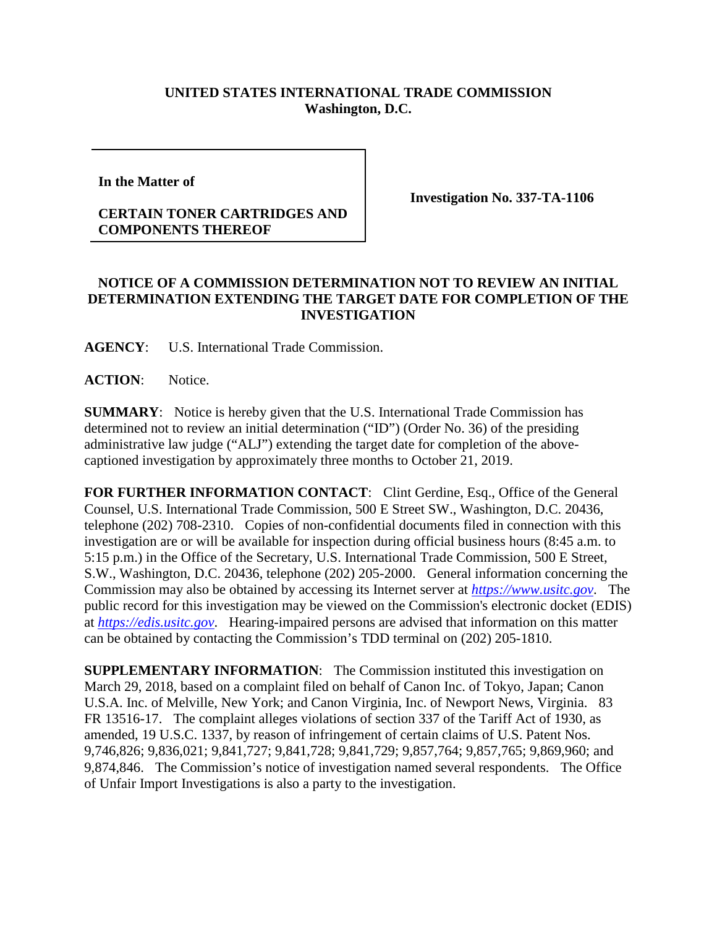## **UNITED STATES INTERNATIONAL TRADE COMMISSION Washington, D.C.**

**In the Matter of** 

## **CERTAIN TONER CARTRIDGES AND COMPONENTS THEREOF**

**Investigation No. 337-TA-1106**

## **NOTICE OF A COMMISSION DETERMINATION NOT TO REVIEW AN INITIAL DETERMINATION EXTENDING THE TARGET DATE FOR COMPLETION OF THE INVESTIGATION**

**AGENCY**: U.S. International Trade Commission.

**ACTION**: Notice.

**SUMMARY**: Notice is hereby given that the U.S. International Trade Commission has determined not to review an initial determination ("ID") (Order No. 36) of the presiding administrative law judge ("ALJ") extending the target date for completion of the abovecaptioned investigation by approximately three months to October 21, 2019.

**FOR FURTHER INFORMATION CONTACT:** Clint Gerdine, Esq., Office of the General Counsel, U.S. International Trade Commission, 500 E Street SW., Washington, D.C. 20436, telephone (202) 708-2310. Copies of non-confidential documents filed in connection with this investigation are or will be available for inspection during official business hours (8:45 a.m. to 5:15 p.m.) in the Office of the Secretary, U.S. International Trade Commission, 500 E Street, S.W., Washington, D.C. 20436, telephone (202) 205-2000. General information concerning the Commission may also be obtained by accessing its Internet server at *[https://www.usitc.gov](https://www.usitc.gov/)*. The public record for this investigation may be viewed on the Commission's electronic docket (EDIS) at *[https://edis.usitc.gov](https://edis.usitc.gov/)*. Hearing-impaired persons are advised that information on this matter can be obtained by contacting the Commission's TDD terminal on (202) 205-1810.

**SUPPLEMENTARY INFORMATION**: The Commission instituted this investigation on March 29, 2018, based on a complaint filed on behalf of Canon Inc. of Tokyo, Japan; Canon U.S.A. Inc. of Melville, New York; and Canon Virginia, Inc. of Newport News, Virginia. 83 FR 13516-17. The complaint alleges violations of section 337 of the Tariff Act of 1930, as amended, 19 U.S.C. 1337, by reason of infringement of certain claims of U.S. Patent Nos. 9,746,826; 9,836,021; 9,841,727; 9,841,728; 9,841,729; 9,857,764; 9,857,765; 9,869,960; and 9,874,846. The Commission's notice of investigation named several respondents. The Office of Unfair Import Investigations is also a party to the investigation.